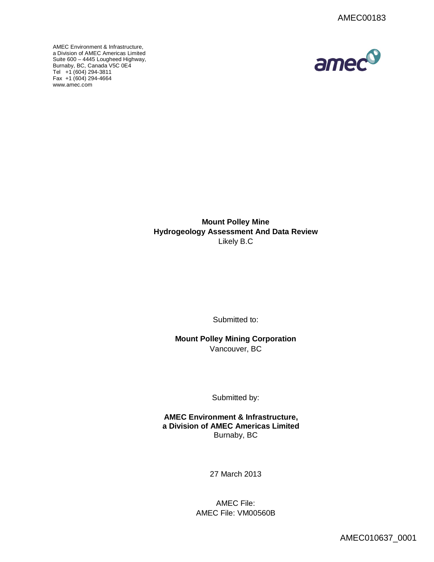

AMEC Environment & Infrastructure, a Division of AMEC Americas Limited Suite 600 – 4445 Lougheed Highway, [Burnaby, BC, C](http://www.amec.com)anada V5C 0E4 Tel +1 (604) 294-3811 Fax +1 (604) 294-4664 www.amec.com

> **Mount Polley Mine Hydrogeology Assessment And Data Review** Likely B.C

> > Submitted to:

**Mount Polley Mining Corporation** Vancouver, BC

Submitted by:

**AMEC Environment & Infrastructure, a Division of AMEC Americas Limited** Burnaby, BC

27 March 2013

AMEC File: AMEC File: VM00560B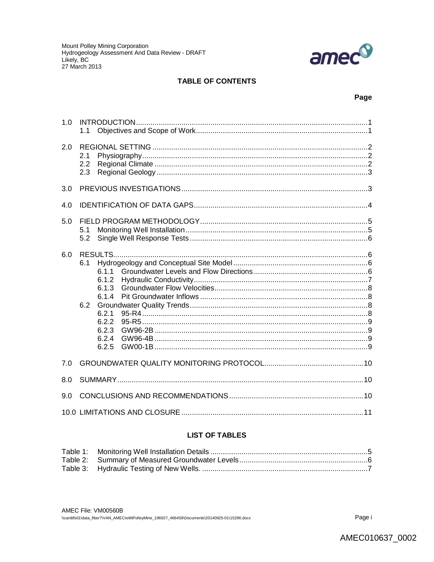

## **TABLE OF CONTENTS**

### Page

| 1.0 | 1.1               |                                                                             |
|-----|-------------------|-----------------------------------------------------------------------------|
| 2.0 | 2.1<br>2.2<br>2.3 |                                                                             |
| 3.0 |                   |                                                                             |
| 4.0 |                   |                                                                             |
| 5.0 | 5.1<br>5.2        |                                                                             |
| 6.0 | 6.1<br>6.2        | 611<br>6.1.2<br>6.1.3<br>6.1.4<br>6.2.1<br>6.2.2<br>6.2.3<br>6.2.4<br>6.2.5 |
| 7.0 |                   |                                                                             |
| 8.0 |                   |                                                                             |
| 9.0 |                   |                                                                             |
|     |                   |                                                                             |

# **LIST OF TABLES**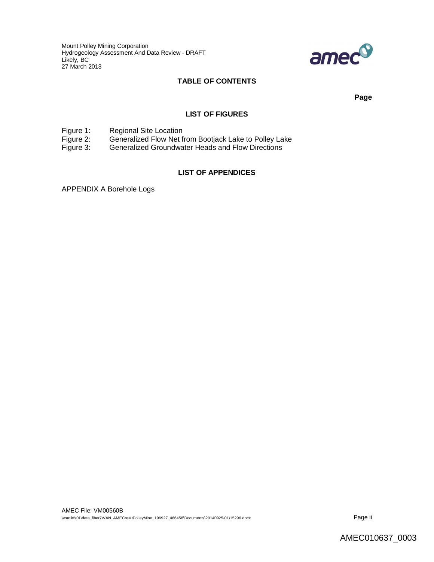Mount Polley Mining Corporation Hydrogeology Assessment And Data Review - DRAFT Likely, BC 27 March 2013



## **TABLE OF CONTENTS**

**Page**

#### **LIST OF FIGURES**

Figure 1: Regional Site Location<br>Figure 2: Generalized Flow Net f

Figure 2: Generalized Flow Net from Bootjack Lake to Polley Lake<br>Figure 3: Generalized Groundwater Heads and Flow Directions

Generalized Groundwater Heads and Flow Directions

#### **LIST OF APPENDICES**

APPENDIX A Borehole Logs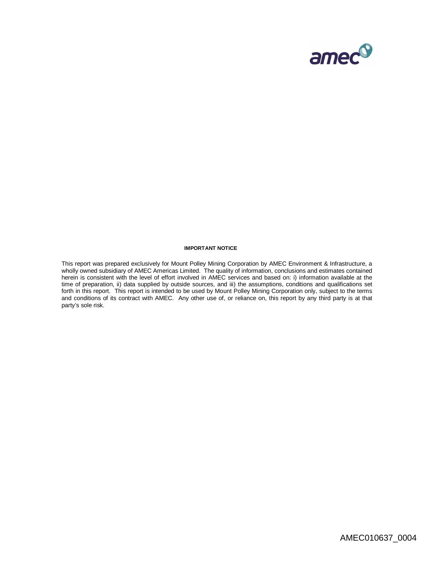

#### **IMPORTANT NOTICE**

This report was prepared exclusively for Mount Polley Mining Corporation by AMEC Environment & Infrastructure, a wholly owned subsidiary of AMEC Americas Limited. The quality of information, conclusions and estimates contained herein is consistent with the level of effort involved in AMEC services and based on: i) information available at the time of preparation, ii) data supplied by outside sources, and iii) the assumptions, conditions and qualifications set forth in this report. This report is intended to be used by Mount Polley Mining Corporation only, subject to the terms and conditions of its contract with AMEC. Any other use of, or reliance on, this report by any third party is at that party's sole risk.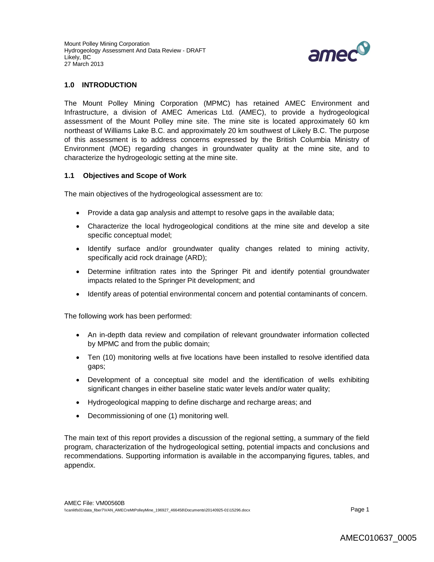

### **1.0 INTRODUCTION**

The Mount Polley Mining Corporation (MPMC) has retained AMEC Environment and Infrastructure, a division of AMEC Americas Ltd. (AMEC), to provide a hydrogeological assessment of the Mount Polley mine site. The mine site is located approximately 60 km northeast of Williams Lake B.C. and approximately 20 km southwest of Likely B.C. The purpose of this assessment is to address concerns expressed by the British Columbia Ministry of Environment (MOE) regarding changes in groundwater quality at the mine site, and to characterize the hydrogeologic setting at the mine site.

#### **1.1 Objectives and Scope of Work**

The main objectives of the hydrogeological assessment are to:

- Provide a data gap analysis and attempt to resolve gaps in the available data;
- Characterize the local hydrogeological conditions at the mine site and develop a site specific conceptual model;
- Identify surface and/or groundwater quality changes related to mining activity, specifically acid rock drainage (ARD);
- Determine infiltration rates into the Springer Pit and identify potential groundwater impacts related to the Springer Pit development; and
- Identify areas of potential environmental concern and potential contaminants of concern.

The following work has been performed:

- An in-depth data review and compilation of relevant groundwater information collected by MPMC and from the public domain;
- Ten (10) monitoring wells at five locations have been installed to resolve identified data gaps;
- Development of a conceptual site model and the identification of wells exhibiting significant changes in either baseline static water levels and/or water quality;
- Hydrogeological mapping to define discharge and recharge areas; and
- Decommissioning of one (1) monitoring well.

The main text of this report provides a discussion of the regional setting, a summary of the field program, characterization of the hydrogeological setting, potential impacts and conclusions and recommendations. Supporting information is available in the accompanying figures, tables, and appendix.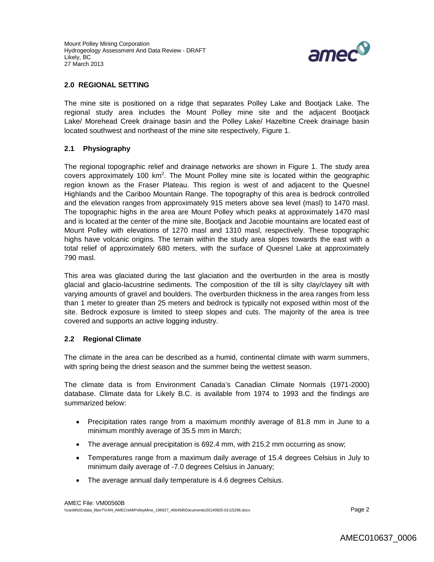

#### **2.0 REGIONAL SETTING**

The mine site is positioned on a ridge that separates Polley Lake and Bootjack Lake. The regional study area includes the Mount Polley mine site and the adjacent Bootjack Lake/ Morehead Creek drainage basin and the Polley Lake/ Hazeltine Creek drainage basin located southwest and northeast of the mine site respectively, Figure 1.

## **2.1 Physiography**

The regional topographic relief and drainage networks are shown in Figure 1. The study area covers approximately 100 km<sup>2</sup>. The Mount Polley mine site is located within the geographic region known as the Fraser Plateau. This region is west of and adjacent to the Quesnel Highlands and the Cariboo Mountain Range. The topography of this area is bedrock controlled and the elevation ranges from approximately 915 meters above sea level (masl) to 1470 masl. The topographic highs in the area are Mount Polley which peaks at approximately 1470 masl and is located at the center of the mine site, Bootjack and Jacobie mountains are located east of Mount Polley with elevations of 1270 masl and 1310 masl, respectively. These topographic highs have volcanic origins. The terrain within the study area slopes towards the east with a total relief of approximately 680 meters, with the surface of Quesnel Lake at approximately 790 masl.

This area was glaciated during the last glaciation and the overburden in the area is mostly glacial and glacio-lacustrine sediments. The composition of the till is silty clay/clayey silt with varying amounts of gravel and boulders. The overburden thickness in the area ranges from less than 1 meter to greater than 25 meters and bedrock is typically not exposed within most of the site. Bedrock exposure is limited to steep slopes and cuts. The majority of the area is tree covered and supports an active logging industry.

### **2.2 Regional Climate**

The climate in the area can be described as a humid, continental climate with warm summers, with spring being the driest season and the summer being the wettest season.

The climate data is from Environment Canada's Canadian Climate Normals (1971-2000) database. Climate data for Likely B.C. is available from 1974 to 1993 and the findings are summarized below:

- Precipitation rates range from a maximum monthly average of 81.8 mm in June to a minimum monthly average of 35.5 mm in March;
- The average annual precipitation is 692.4 mm, with 215.2 mm occurring as snow;
- Temperatures range from a maximum daily average of 15.4 degrees Celsius in July to minimum daily average of -7.0 degrees Celsius in January;
- The average annual daily temperature is 4.6 degrees Celsius.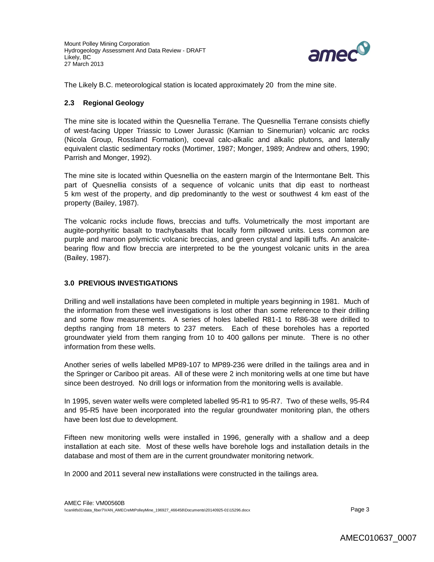

The Likely B.C. meteorological station is located approximately 20 from the mine site.

### **2.3 Regional Geology**

The mine site is located within the Quesnellia Terrane. The Quesnellia Terrane consists chiefly of west-facing Upper Triassic to Lower Jurassic (Karnian to Sinemurian) volcanic arc rocks (Nicola Group, Rossland Formation), coeval calc-alkalic and alkalic plutons, and laterally equivalent clastic sedimentary rocks (Mortimer, 1987; Monger, 1989; Andrew and others, 1990; Parrish and Monger, 1992).

The mine site is located within Quesnellia on the eastern margin of the lntermontane Belt. This part of Quesnellia consists of a sequence of volcanic units that dip east to northeast 5 km west of the property, and dip predominantly to the west or southwest 4 km east of the property (Bailey, 1987).

The volcanic rocks include flows, breccias and tuffs. Volumetrically the most important are augite-porphyritic basalt to trachybasalts that locally form pillowed units. Less common are purple and maroon polymictic volcanic breccias, and green crystal and lapilli tuffs. An analcitebearing flow and flow breccia are interpreted to be the youngest volcanic units in the area (Bailey, 1987).

### **3.0 PREVIOUS INVESTIGATIONS**

Drilling and well installations have been completed in multiple years beginning in 1981. Much of the information from these well investigations is lost other than some reference to their drilling and some flow measurements. A series of holes labelled R81-1 to R86-38 were drilled to depths ranging from 18 meters to 237 meters. Each of these boreholes has a reported groundwater yield from them ranging from 10 to 400 gallons per minute. There is no other information from these wells.

Another series of wells labelled MP89-107 to MP89-236 were drilled in the tailings area and in the Springer or Cariboo pit areas. All of these were 2 inch monitoring wells at one time but have since been destroyed. No drill logs or information from the monitoring wells is available.

In 1995, seven water wells were completed labelled 95-R1 to 95-R7. Two of these wells, 95-R4 and 95-R5 have been incorporated into the regular groundwater monitoring plan, the others have been lost due to development.

Fifteen new monitoring wells were installed in 1996, generally with a shallow and a deep installation at each site. Most of these wells have borehole logs and installation details in the database and most of them are in the current groundwater monitoring network.

In 2000 and 2011 several new installations were constructed in the tailings area.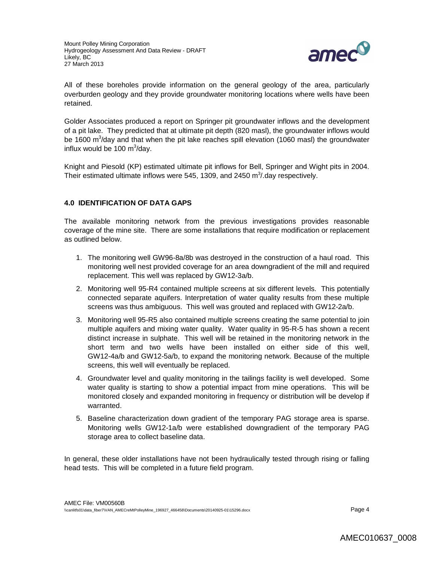

All of these boreholes provide information on the general geology of the area, particularly overburden geology and they provide groundwater monitoring locations where wells have been retained.

Golder Associates produced a report on Springer pit groundwater inflows and the development of a pit lake. They predicted that at ultimate pit depth (820 masl), the groundwater inflows would be 1600 m<sup>3</sup>/day and that when the pit lake reaches spill elevation (1060 masl) the groundwater influx would be 100  $\text{m}^3$ /day.

Knight and Piesold (KP) estimated ultimate pit inflows for Bell, Springer and Wight pits in 2004. Their estimated ultimate inflows were 545, 1309, and 2450  $\text{m}^3$ /day respectively.

## **4.0 IDENTIFICATION OF DATA GAPS**

The available monitoring network from the previous investigations provides reasonable coverage of the mine site. There are some installations that require modification or replacement as outlined below.

- 1. The monitoring well GW96-8a/8b was destroyed in the construction of a haul road. This monitoring well nest provided coverage for an area downgradient of the mill and required replacement. This well was replaced by GW12-3a/b.
- 2. Monitoring well 95-R4 contained multiple screens at six different levels. This potentially connected separate aquifers. Interpretation of water quality results from these multiple screens was thus ambiguous. This well was grouted and replaced with GW12-2a/b.
- 3. Monitoring well 95-R5 also contained multiple screens creating the same potential to join multiple aquifers and mixing water quality. Water quality in 95-R-5 has shown a recent distinct increase in sulphate. This well will be retained in the monitoring network in the short term and two wells have been installed on either side of this well, GW12-4a/b and GW12-5a/b, to expand the monitoring network. Because of the multiple screens, this well will eventually be replaced.
- 4. Groundwater level and quality monitoring in the tailings facility is well developed. Some water quality is starting to show a potential impact from mine operations. This will be monitored closely and expanded monitoring in frequency or distribution will be develop if warranted.
- 5. Baseline characterization down gradient of the temporary PAG storage area is sparse. Monitoring wells GW12-1a/b were established downgradient of the temporary PAG storage area to collect baseline data.

In general, these older installations have not been hydraulically tested through rising or falling head tests. This will be completed in a future field program.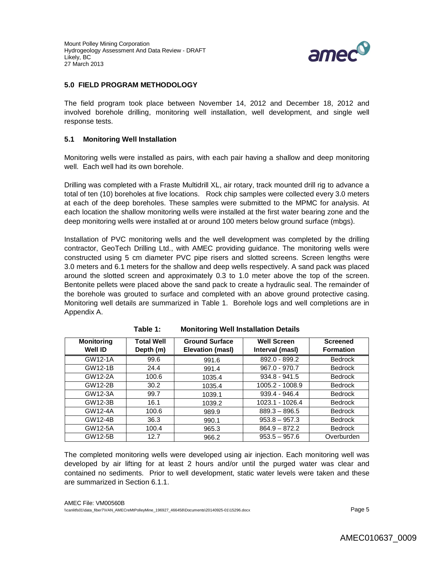Mount Polley Mining Corporation Hydrogeology Assessment And Data Review - DRAFT Likely, BC 27 March 2013



#### **5.0 FIELD PROGRAM METHODOLOGY**

The field program took place between November 14, 2012 and December 18, 2012 and involved borehole drilling, monitoring well installation, well development, and single well response tests.

#### **5.1 Monitoring Well Installation**

Monitoring wells were installed as pairs, with each pair having a shallow and deep monitoring well. Each well had its own borehole.

Drilling was completed with a Fraste Multidrill XL, air rotary, track mounted drill rig to advance a total of ten (10) boreholes at five locations. Rock chip samples were collected every 3.0 meters at each of the deep boreholes. These samples were submitted to the MPMC for analysis. At each location the shallow monitoring wells were installed at the first water bearing zone and the deep monitoring wells were installed at or around 100 meters below ground surface (mbgs).

Installation of PVC monitoring wells and the well development was completed by the drilling contractor, GeoTech Drilling Ltd., with AMEC providing guidance. The monitoring wells were constructed using 5 cm diameter PVC pipe risers and slotted screens. Screen lengths were 3.0 meters and 6.1 meters for the shallow and deep wells respectively. A sand pack was placed around the slotted screen and approximately 0.3 to 1.0 meter above the top of the screen. Bentonite pellets were placed above the sand pack to create a hydraulic seal. The remainder of the borehole was grouted to surface and completed with an above ground protective casing. Monitoring well details are summarized in Table 1. Borehole logs and well completions are in Appendix A.

| <b>Monitoring</b><br>Well ID | <b>Total Well</b><br>Depth (m) | <b>Ground Surface</b><br>Elevation (masl) | <b>Well Screen</b><br>Interval (masl) | <b>Screened</b><br><b>Formation</b> |
|------------------------------|--------------------------------|-------------------------------------------|---------------------------------------|-------------------------------------|
| GW12-1A                      | 99.6                           | 991.6                                     | $892.0 - 899.2$                       | <b>Bedrock</b>                      |
| GW12-1B                      | 24.4                           | 991.4                                     | $967.0 - 970.7$                       | <b>Bedrock</b>                      |
| GW12-2A                      | 100.6                          | 1035.4                                    | $934.8 - 941.5$                       | <b>Bedrock</b>                      |
| GW12-2B                      | 30.2                           | 1035.4                                    | 1005.2 - 1008.9                       | <b>Bedrock</b>                      |
| GW12-3A                      | 99.7                           | 1039.1                                    | 939.4 - 946.4                         | <b>Bedrock</b>                      |
| GW12-3B                      | 16.1                           | 1039.2                                    | 1023.1 - 1026.4                       | <b>Bedrock</b>                      |
| GW12-4A                      | 100.6                          | 989.9                                     | $889.3 - 896.5$                       | <b>Bedrock</b>                      |
| GW12-4B                      | 36.3                           | 990.1                                     | $953.8 - 957.3$                       | <b>Bedrock</b>                      |
| GW12-5A                      | 100.4                          | 965.3                                     | $864.9 - 872.2$                       | <b>Bedrock</b>                      |
| GW12-5B                      | 12.7                           | 966.2                                     | $953.5 - 957.6$                       | Overburden                          |

| Table 1: | <b>Monitoring Well Installation Details</b> |  |  |  |
|----------|---------------------------------------------|--|--|--|
|----------|---------------------------------------------|--|--|--|

The completed monitoring wells were developed using air injection. Each monitoring well was developed by air lifting for at least 2 hours and/or until the purged water was clear and contained no sediments. Prior to well development, static water levels were taken and these are summarized in Section 6.1.1.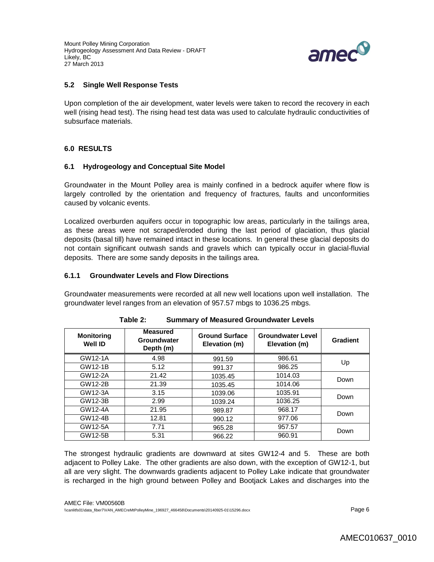Mount Polley Mining Corporation Hydrogeology Assessment And Data Review - DRAFT Likely, BC 27 March 2013



### **5.2 Single Well Response Tests**

Upon completion of the air development, water levels were taken to record the recovery in each well (rising head test). The rising head test data was used to calculate hydraulic conductivities of subsurface materials.

### **6.0 RESULTS**

#### **6.1 Hydrogeology and Conceptual Site Model**

Groundwater in the Mount Polley area is mainly confined in a bedrock aquifer where flow is largely controlled by the orientation and frequency of fractures, faults and unconformities caused by volcanic events.

Localized overburden aquifers occur in topographic low areas, particularly in the tailings area, as these areas were not scraped/eroded during the last period of glaciation, thus glacial deposits (basal till) have remained intact in these locations. In general these glacial deposits do not contain significant outwash sands and gravels which can typically occur in glacial-fluvial deposits. There are some sandy deposits in the tailings area.

### **6.1.1 Groundwater Levels and Flow Directions**

Groundwater measurements were recorded at all new well locations upon well installation. The groundwater level ranges from an elevation of 957.57 mbgs to 1036.25 mbgs.

| <b>Monitoring</b><br><b>Well ID</b> | <b>Measured</b><br>Groundwater<br>Depth (m) | <b>Ground Surface</b><br>Elevation (m) | <b>Groundwater Level</b><br>Elevation (m) | Gradient |  |
|-------------------------------------|---------------------------------------------|----------------------------------------|-------------------------------------------|----------|--|
| GW12-1A                             | 4.98                                        | 991.59                                 | 986.61                                    | Up       |  |
| GW12-1B                             | 5.12                                        | 991.37                                 | 986.25                                    |          |  |
| GW12-2A                             | 21.42                                       | 1035.45                                | 1014.03                                   | Down     |  |
| GW12-2B                             | 21.39                                       | 1035.45                                | 1014.06                                   |          |  |
| GW12-3A                             | 3.15                                        | 1039.06                                | 1035.91                                   | Down     |  |
| GW12-3B                             | 2.99                                        | 1039.24                                | 1036.25                                   |          |  |
| GW12-4A                             | 21.95                                       | 989.87                                 | 968.17                                    | Down     |  |
| GW12-4B                             | 12.81                                       | 990.12                                 | 977.06                                    |          |  |
| GW12-5A                             | 7.71                                        | 965.28                                 | 957.57                                    |          |  |
| GW12-5B                             | 5.31                                        | 966.22                                 | 960.91                                    | Down     |  |

| Table 2: | <b>Summary of Measured Groundwater Levels</b> |
|----------|-----------------------------------------------|
|----------|-----------------------------------------------|

The strongest hydraulic gradients are downward at sites GW12-4 and 5. These are both adjacent to Polley Lake. The other gradients are also down, with the exception of GW12-1, but all are very slight. The downwards gradients adjacent to Polley Lake indicate that groundwater is recharged in the high ground between Polley and Bootjack Lakes and discharges into the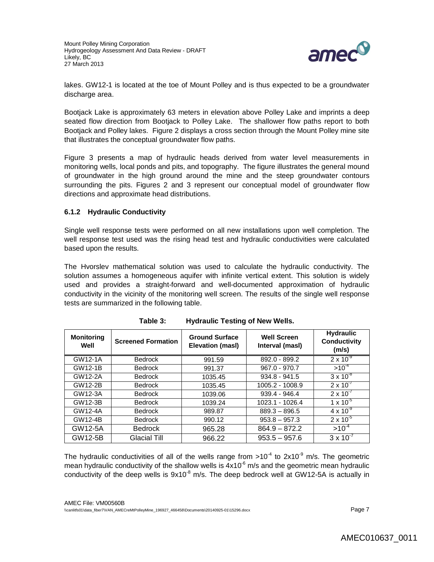

lakes. GW12-1 is located at the toe of Mount Polley and is thus expected to be a groundwater discharge area.

Bootjack Lake is approximately 63 meters in elevation above Polley Lake and imprints a deep seated flow direction from Bootjack to Polley Lake. The shallower flow paths report to both Bootjack and Polley lakes. Figure 2 displays a cross section through the Mount Polley mine site that illustrates the conceptual groundwater flow paths.

Figure 3 presents a map of hydraulic heads derived from water level measurements in monitoring wells, local ponds and pits, and topography. The figure illustrates the general mound of groundwater in the high ground around the mine and the steep groundwater contours surrounding the pits. Figures 2 and 3 represent our conceptual model of groundwater flow directions and approximate head distributions.

### **6.1.2 Hydraulic Conductivity**

Single well response tests were performed on all new installations upon well completion. The well response test used was the rising head test and hydraulic conductivities were calculated based upon the results.

The Hvorslev mathematical solution was used to calculate the hydraulic conductivity. The solution assumes a homogeneous aquifer with infinite vertical extent. This solution is widely used and provides a straight-forward and well-documented approximation of hydraulic conductivity in the vicinity of the monitoring well screen. The results of the single well response tests are summarized in the following table.

| <b>Monitoring</b><br>Well | <b>Screened Formation</b> | <b>Ground Surface</b><br>Elevation (masl) | <b>Well Screen</b><br>Interval (masl) | <b>Hydraulic</b><br>Conductivity<br>(m/s) |
|---------------------------|---------------------------|-------------------------------------------|---------------------------------------|-------------------------------------------|
| GW12-1A                   | <b>Bedrock</b>            | 991.59                                    | 892.0 - 899.2                         | $2 \times 10^{-9}$                        |
| GW12-1B                   | <b>Bedrock</b>            | 991.37                                    | $967.0 - 970.7$                       | $>10^{-4}$                                |
| GW12-2A                   | <b>Bedrock</b>            | 1035.45                                   | $934.8 - 941.5$                       | $3 \times 10^{-8}$                        |
| GW12-2B                   | <b>Bedrock</b>            | 1035.45                                   | 1005.2 - 1008.9                       | $2 \times 10^{-7}$                        |
| GW12-3A                   | <b>Bedrock</b>            | 1039.06                                   | 939.4 - 946.4                         | $2 \times 10^{-7}$                        |
| GW12-3B                   | <b>Bedrock</b>            | 1039.24                                   | 1023.1 - 1026.4                       | $1 \times 10^{-5}$                        |
| GW12-4A                   | <b>Bedrock</b>            | 989.87                                    | $889.3 - 896.5$                       | $4 \times 10^{-9}$                        |
| GW12-4B                   | <b>Bedrock</b>            | 990.12                                    | $953.8 - 957.3$                       | $2 \times 10^{-5}$                        |
| GW12-5A                   | <b>Bedrock</b>            | 965.28                                    | $864.9 - 872.2$                       | $>10^{-4}$                                |
| GW12-5B                   | Glacial Till              | 966.22                                    | $953.5 - 957.6$                       | $3 \times 10^{-7}$                        |

| Table 3: | <b>Hydraulic Testing of New Wells.</b> |  |  |
|----------|----------------------------------------|--|--|
|----------|----------------------------------------|--|--|

The hydraulic conductivities of all of the wells range from >10<sup>-4</sup> to 2x10<sup>-9</sup> m/s. The geometric mean hydraulic conductivity of the shallow wells is  $4x10<sup>-6</sup>$  m/s and the geometric mean hydraulic conductivity of the deep wells is  $9x10^{-8}$  m/s. The deep bedrock well at GW12-5A is actually in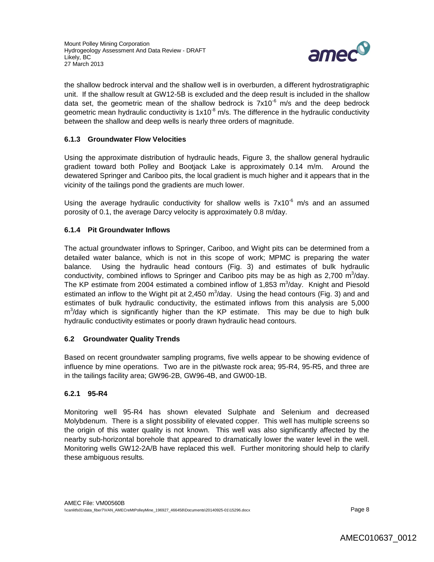

the shallow bedrock interval and the shallow well is in overburden, a different hydrostratigraphic unit. If the shallow result at GW12-5B is excluded and the deep result is included in the shallow data set, the geometric mean of the shallow bedrock is  $7x10^{-6}$  m/s and the deep bedrock geometric mean hydraulic conductivity is  $1x10^{-8}$  m/s. The difference in the hydraulic conductivity between the shallow and deep wells is nearly three orders of magnitude.

### **6.1.3 Groundwater Flow Velocities**

Using the approximate distribution of hydraulic heads, Figure 3, the shallow general hydraulic gradient toward both Polley and Bootjack Lake is approximately 0.14 m/m. Around the dewatered Springer and Cariboo pits, the local gradient is much higher and it appears that in the vicinity of the tailings pond the gradients are much lower.

Using the average hydraulic conductivity for shallow wells is  $7x10^{-6}$  m/s and an assumed porosity of 0.1, the average Darcy velocity is approximately 0.8 m/day.

### **6.1.4 Pit Groundwater Inflows**

The actual groundwater inflows to Springer, Cariboo, and Wight pits can be determined from a detailed water balance, which is not in this scope of work; MPMC is preparing the water balance. Using the hydraulic head contours (Fig. 3) and estimates of bulk hydraulic conductivity, combined inflows to Springer and Cariboo pits may be as high as 2,700  $m^3$ /day. The KP estimate from 2004 estimated a combined inflow of 1,853  $m^3$ /day. Knight and Piesold estimated an inflow to the Wight pit at 2,450  $m^3$ /day. Using the head contours (Fig. 3) and and estimates of bulk hydraulic conductivity, the estimated inflows from this analysis are 5,000 m<sup>3</sup>/day which is significantly higher than the KP estimate. This may be due to high bulk hydraulic conductivity estimates or poorly drawn hydraulic head contours.

### **6.2 Groundwater Quality Trends**

Based on recent groundwater sampling programs, five wells appear to be showing evidence of influence by mine operations. Two are in the pit/waste rock area; 95-R4, 95-R5, and three are in the tailings facility area; GW96-2B, GW96-4B, and GW00-1B.

### **6.2.1 95-R4**

Monitoring well 95-R4 has shown elevated Sulphate and Selenium and decreased Molybdenum. There is a slight possibility of elevated copper. This well has multiple screens so the origin of this water quality is not known. This well was also significantly affected by the nearby sub-horizontal borehole that appeared to dramatically lower the water level in the well. Monitoring wells GW12-2A/B have replaced this well. Further monitoring should help to clarify these ambiguous results.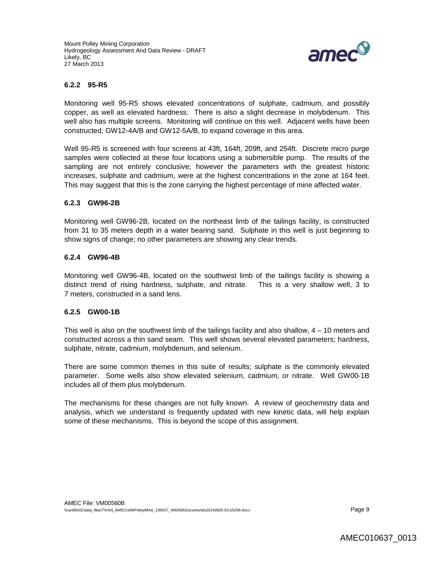

#### **6.2.2 95-R5**

Monitoring well 95-R5 shows elevated concentrations of sulphate, cadmium, and possibly copper, as well as elevated hardness. There is also a slight decrease in molybdenum. This well also has multiple screens. Monitoring will continue on this well. Adjacent wells have been constructed, GW12-4A/B and GW12-5A/B, to expand coverage in this area.

Well 95-R5 is screened with four screens at 43ft, 164ft, 209ft, and 254ft. Discrete micro purge samples were collected at these four locations using a submersible pump. The results of the sampling are not entirely conclusive; however the parameters with the greatest historic increases, sulphate and cadmium, were at the highest concentrations in the zone at 164 feet. This may suggest that this is the zone carrying the highest percentage of mine affected water.

#### **6.2.3 GW96-2B**

Monitoring well GW96-2B, located on the northeast limb of the tailings facility, is constructed from 31 to 35 meters depth in a water bearing sand. Sulphate in this well is just beginning to show signs of change; no other parameters are showing any clear trends.

### **6.2.4 GW96-4B**

Monitoring well GW96-4B, located on the southwest limb of the tailings facility is showing a distinct trend of rising hardness, sulphate, and nitrate. This is a very shallow well, 3 to 7 meters, constructed in a sand lens.

#### **6.2.5 GW00-1B**

This well is also on the southwest limb of the tailings facility and also shallow, 4 – 10 meters and constructed across a thin sand seam. This well shows several elevated parameters; hardness, sulphate, nitrate, cadmium, molybdenum, and selenium.

There are some common themes in this suite of results; sulphate is the commonly elevated parameter. Some wells also show elevated selenium, cadmium, or nitrate. Well GW00-1B includes all of them plus molybdenum.

The mechanisms for these changes are not fully known. A review of geochemistry data and analysis, which we understand is frequently updated with new kinetic data, will help explain some of these mechanisms. This is beyond the scope of this assignment.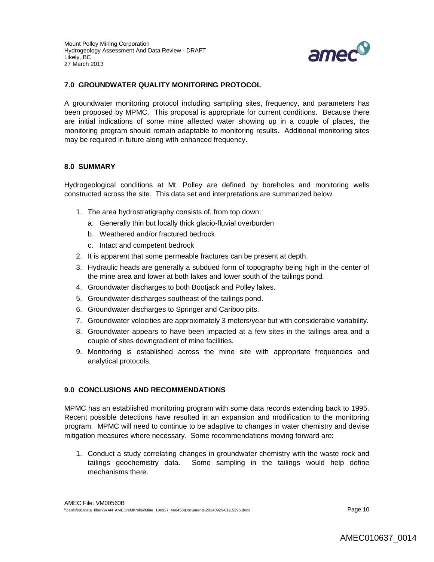

### **7.0 GROUNDWATER QUALITY MONITORING PROTOCOL**

A groundwater monitoring protocol including sampling sites, frequency, and parameters has been proposed by MPMC. This proposal is appropriate for current conditions. Because there are initial indications of some mine affected water showing up in a couple of places, the monitoring program should remain adaptable to monitoring results. Additional monitoring sites may be required in future along with enhanced frequency.

#### **8.0 SUMMARY**

Hydrogeological conditions at Mt. Polley are defined by boreholes and monitoring wells constructed across the site. This data set and interpretations are summarized below.

- 1. The area hydrostratigraphy consists of, from top down:
	- a. Generally thin but locally thick glacio-fluvial overburden
	- b. Weathered and/or fractured bedrock
	- c. Intact and competent bedrock
- 2. It is apparent that some permeable fractures can be present at depth.
- 3. Hydraulic heads are generally a subdued form of topography being high in the center of the mine area and lower at both lakes and lower south of the tailings pond.
- 4. Groundwater discharges to both Bootjack and Polley lakes.
- 5. Groundwater discharges southeast of the tailings pond.
- 6. Groundwater discharges to Springer and Cariboo pits.
- 7. Groundwater velocities are approximately 3 meters/year but with considerable variability.
- 8. Groundwater appears to have been impacted at a few sites in the tailings area and a couple of sites downgradient of mine facilities.
- 9. Monitoring is established across the mine site with appropriate frequencies and analytical protocols.

#### **9.0 CONCLUSIONS AND RECOMMENDATIONS**

MPMC has an established monitoring program with some data records extending back to 1995. Recent possible detections have resulted in an expansion and modification to the monitoring program. MPMC will need to continue to be adaptive to changes in water chemistry and devise mitigation measures where necessary. Some recommendations moving forward are:

1. Conduct a study correlating changes in groundwater chemistry with the waste rock and tailings geochemistry data. Some sampling in the tailings would help define mechanisms there.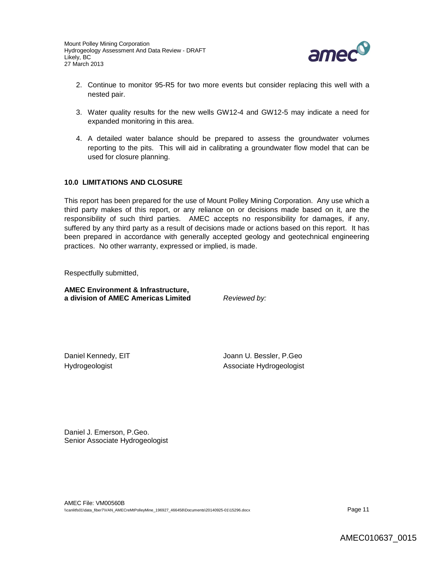

- 2. Continue to monitor 95-R5 for two more events but consider replacing this well with a nested pair.
- 3. Water quality results for the new wells GW12-4 and GW12-5 may indicate a need for expanded monitoring in this area.
- 4. A detailed water balance should be prepared to assess the groundwater volumes reporting to the pits. This will aid in calibrating a groundwater flow model that can be used for closure planning.

### **10.0 LIMITATIONS AND CLOSURE**

This report has been prepared for the use of Mount Polley Mining Corporation. Any use which a third party makes of this report, or any reliance on or decisions made based on it, are the responsibility of such third parties. AMEC accepts no responsibility for damages, if any, suffered by any third party as a result of decisions made or actions based on this report. It has been prepared in accordance with generally accepted geology and geotechnical engineering practices. No other warranty, expressed or implied, is made.

Respectfully submitted,

**AMEC Environment & Infrastructure, a division of AMEC Americas Limited** *Reviewed by:*

Daniel Kennedy, EIT Manager School and Manager Joann U. Bessler, P.Geo Hydrogeologist **Associate Hydrogeologist** 

Daniel J. Emerson, P.Geo. Senior Associate Hydrogeologist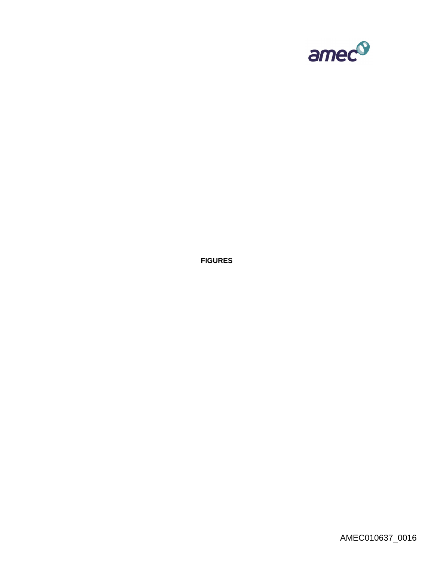

**FIGURES**